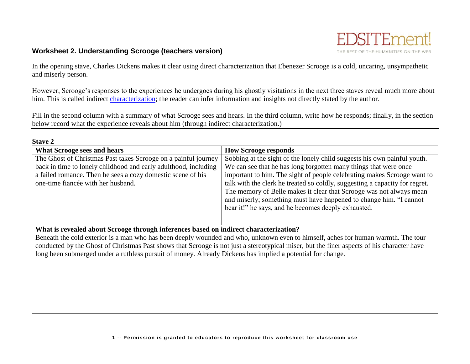

# **Worksheet 2. Understanding Scrooge (teachers version)**

In the opening stave, Charles Dickens makes it clear using direct characterization that Ebenezer Scrooge is a cold, uncaring, unsympathetic and miserly person.

However, Scrooge's responses to the experiences he undergoes during his ghostly visitations in the next three staves reveal much more about him. This is called indirect [characterization;](http://edsitement.neh.gov/literary-glossary-c-d#characterization) the reader can infer information and insights not directly stated by the author.

Fill in the second column with a summary of what Scrooge sees and hears. In the third column, write how he responds; finally, in the section below record what the experience reveals about him (through indirect characterization.)

| <b>Stave 2</b>                                                  |                                                                             |
|-----------------------------------------------------------------|-----------------------------------------------------------------------------|
| <b>What Scrooge sees and hears</b>                              | <b>How Scrooge responds</b>                                                 |
| The Ghost of Christmas Past takes Scrooge on a painful journey  | Sobbing at the sight of the lonely child suggests his own painful youth.    |
| back in time to lonely childhood and early adulthood, including | We can see that he has long forgotten many things that were once            |
| a failed romance. Then he sees a cozy domestic scene of his     | important to him. The sight of people celebrating makes Scrooge want to     |
| one-time fiancée with her husband.                              | talk with the clerk he treated so coldly, suggesting a capacity for regret. |
|                                                                 | The memory of Belle makes it clear that Scrooge was not always mean         |
|                                                                 | and miserly; something must have happened to change him. "I cannot          |
|                                                                 | bear it!" he says, and he becomes deeply exhausted.                         |
|                                                                 |                                                                             |
|                                                                 |                                                                             |

**What is revealed about Scrooge through inferences based on indirect characterization?**

Beneath the cold exterior is a man who has been deeply wounded and who, unknown even to himself, aches for human warmth. The tour conducted by the Ghost of Christmas Past shows that Scrooge is not just a stereotypical miser, but the finer aspects of his character have long been submerged under a ruthless pursuit of money. Already Dickens has implied a potential for change.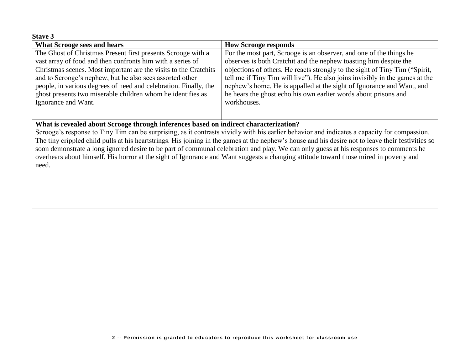#### **Stave 3**

| <b>What Scrooge sees and hears</b>                                                                       | <b>How Scrooge responds</b>                                                  |
|----------------------------------------------------------------------------------------------------------|------------------------------------------------------------------------------|
| The Ghost of Christmas Present first presents Scrooge with a                                             | For the most part, Scrooge is an observer, and one of the things he          |
| vast array of food and then confronts him with a series of                                               | observes is both Cratchit and the nephew toasting him despite the            |
| Christmas scenes. Most important are the visits to the Cratchits                                         | objections of others. He reacts strongly to the sight of Tiny Tim ("Spirit,  |
| and to Scrooge's nephew, but he also sees assorted other                                                 | tell me if Tiny Tim will live"). He also joins invisibly in the games at the |
| people, in various degrees of need and celebration. Finally, the                                         | nephew's home. He is appalled at the sight of Ignorance and Want, and        |
| ghost presents two miserable children whom he identifies as                                              | he hears the ghost echo his own earlier words about prisons and              |
| Ignorance and Want.                                                                                      | workhouses.                                                                  |
|                                                                                                          |                                                                              |
| $\mathbf{v}$ $\mathbf{v}$ $\mathbf{v}$ $\mathbf{v}$ $\mathbf{v}$<br>$\cdots$<br>$\sqrt{a}$<br><b>A</b> 1 | $\blacksquare$                                                               |

### **What is revealed about Scrooge through inferences based on indirect characterization?**

Scrooge's response to Tiny Tim can be surprising, as it contrasts vividly with his earlier behavior and indicates a capacity for compassion. The tiny crippled child pulls at his heartstrings. His joining in the games at the nephew's house and his desire not to leave their festivities so soon demonstrate a long ignored desire to be part of communal celebration and play. We can only guess at his responses to comments he overhears about himself. His horror at the sight of Ignorance and Want suggests a changing attitude toward those mired in poverty and need.